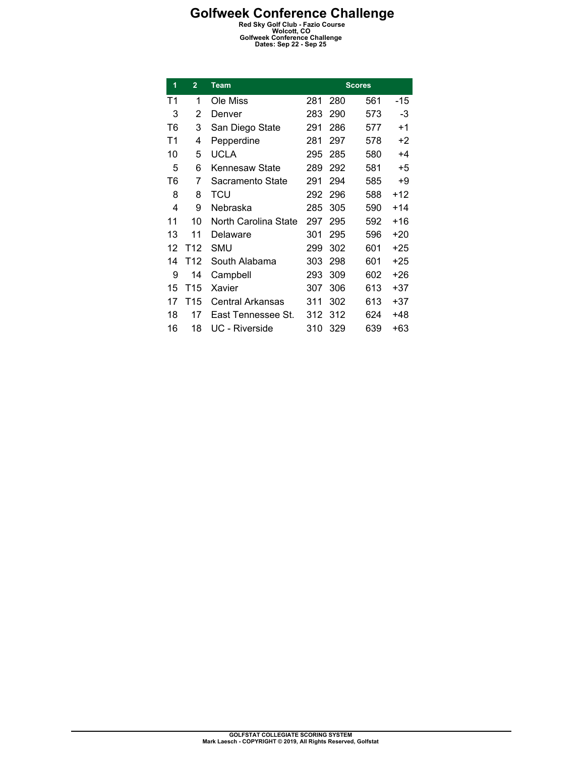| 1  | $\overline{2}$  | Team                 |     |     | <b>Scores</b> |       |
|----|-----------------|----------------------|-----|-----|---------------|-------|
| T1 | 1               | Ole Miss             | 281 | 280 | 561           | -15   |
| 3  | 2               | Denver               | 283 | 290 | 573           | -3    |
| T6 | 3               | San Diego State      | 291 | 286 | 577           | $+1$  |
| T1 | 4               | Pepperdine           | 281 | 297 | 578           | +2    |
| 10 | 5               | <b>UCLA</b>          | 295 | 285 | 580           | $+4$  |
| 5  | 6               | Kennesaw State       | 289 | 292 | 581           | $+5$  |
| T6 | 7               | Sacramento State     | 291 | 294 | 585           | +9    |
| 8  | 8               | TCU                  | 292 | 296 | 588           | +12   |
| 4  | 9               | Nebraska             | 285 | 305 | 590           | $+14$ |
| 11 | 10              | North Carolina State | 297 | 295 | 592           | $+16$ |
| 13 | 11              | Delaware             | 301 | 295 | 596           | $+20$ |
| 12 | T <sub>12</sub> | SMU                  | 299 | 302 | 601           | +25   |
| 14 | T12             | South Alabama        | 303 | 298 | 601           | $+25$ |
| 9  | 14              | Campbell             | 293 | 309 | 602           | +26   |
| 15 | T15             | Xavier               | 307 | 306 | 613           | +37   |
| 17 | T15             | Central Arkansas     | 311 | 302 | 613           | $+37$ |
| 18 | 17              | East Tennessee St.   | 312 | 312 | 624           | +48   |
| 16 | 18              | UC - Riverside       | 310 | 329 | 639           | +63   |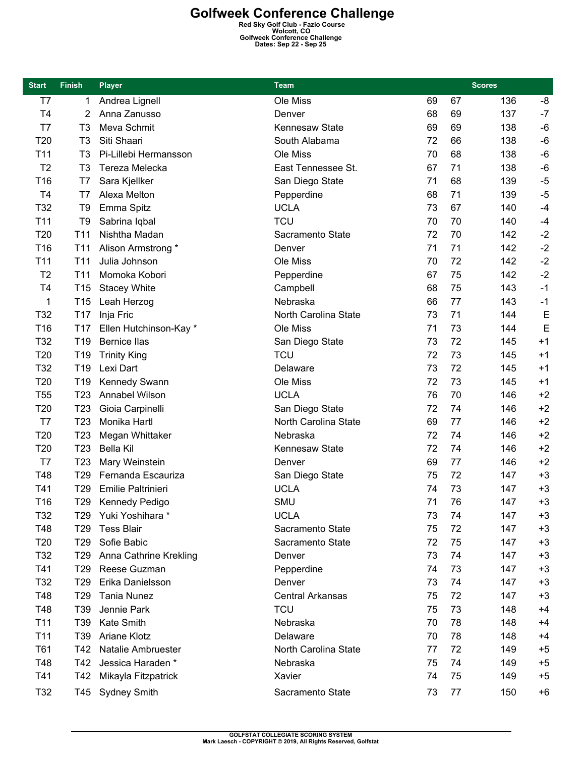| <b>Start</b>    | <b>Finish</b>   | <b>Player</b>           | Team                    |    |    | <b>Scores</b> |      |
|-----------------|-----------------|-------------------------|-------------------------|----|----|---------------|------|
| T7              | 1               | Andrea Lignell          | Ole Miss                | 69 | 67 | 136           | -8   |
| <b>T4</b>       | 2               | Anna Zanusso            | Denver                  | 68 | 69 | 137           | $-7$ |
| T7              | T3              | Meva Schmit             | Kennesaw State          | 69 | 69 | 138           | $-6$ |
| T20             | T <sub>3</sub>  | Siti Shaari             | South Alabama           | 72 | 66 | 138           | $-6$ |
| T11             | T <sub>3</sub>  | Pi-Lillebi Hermansson   | Ole Miss                | 70 | 68 | 138           | $-6$ |
| T <sub>2</sub>  | T <sub>3</sub>  | Tereza Melecka          | East Tennessee St.      | 67 | 71 | 138           | $-6$ |
| T16             | T7              | Sara Kjellker           | San Diego State         | 71 | 68 | 139           | $-5$ |
| T <sub>4</sub>  | T7              | Alexa Melton            | Pepperdine              | 68 | 71 | 139           | $-5$ |
| T32             | T <sub>9</sub>  | Emma Spitz              | <b>UCLA</b>             | 73 | 67 | 140           | $-4$ |
| T11             | T <sub>9</sub>  | Sabrina Iqbal           | <b>TCU</b>              | 70 | 70 | 140           | $-4$ |
| T20             | T <sub>11</sub> | Nishtha Madan           | Sacramento State        | 72 | 70 | 142           | $-2$ |
| T <sub>16</sub> | T <sub>11</sub> | Alison Armstrong *      | Denver                  | 71 | 71 | 142           | $-2$ |
| T11             | T <sub>11</sub> | Julia Johnson           | Ole Miss                | 70 | 72 | 142           | $-2$ |
| T <sub>2</sub>  | T11             | Momoka Kobori           | Pepperdine              | 67 | 75 | 142           | $-2$ |
| T <sub>4</sub>  | T <sub>15</sub> | <b>Stacey White</b>     | Campbell                | 68 | 75 | 143           | $-1$ |
| 1               | T <sub>15</sub> | Leah Herzog             | Nebraska                | 66 | 77 | 143           | $-1$ |
| T32             | T17             | Inja Fric               | North Carolina State    | 73 | 71 | 144           | E    |
| T16             | T <sub>17</sub> | Ellen Hutchinson-Kay *  | Ole Miss                | 71 | 73 | 144           | E    |
| T32             | T <sub>19</sub> | <b>Bernice llas</b>     | San Diego State         | 73 | 72 | 145           | $+1$ |
| T20             | T <sub>19</sub> | <b>Trinity King</b>     | <b>TCU</b>              | 72 | 73 | 145           | $+1$ |
| T32             | T <sub>19</sub> | Lexi Dart               | Delaware                | 73 | 72 | 145           | $+1$ |
| T20             | T <sub>19</sub> | Kennedy Swann           | Ole Miss                | 72 | 73 | 145           | $+1$ |
| <b>T55</b>      | T <sub>23</sub> | Annabel Wilson          | <b>UCLA</b>             | 76 | 70 | 146           | $+2$ |
| T20             | T <sub>23</sub> | Gioia Carpinelli        | San Diego State         | 72 | 74 | 146           | $+2$ |
| T7              | T <sub>23</sub> | Monika Hartl            | North Carolina State    | 69 | 77 | 146           | $+2$ |
| T20             | T <sub>23</sub> | Megan Whittaker         | Nebraska                | 72 | 74 | 146           | $+2$ |
| T <sub>20</sub> | T <sub>23</sub> | <b>Bella Kil</b>        | <b>Kennesaw State</b>   | 72 | 74 | 146           | $+2$ |
| T7              | T <sub>23</sub> | Mary Weinstein          | Denver                  | 69 | 77 | 146           | $+2$ |
| T48             | T <sub>29</sub> | Fernanda Escauriza      | San Diego State         | 75 | 72 | 147           | $+3$ |
| T41             | T <sub>29</sub> | Emilie Paltrinieri      | <b>UCLA</b>             | 74 | 73 | 147           | $+3$ |
| T16             | T <sub>29</sub> | Kennedy Pedigo          | SMU                     | 71 | 76 | 147           | $+3$ |
| T32             |                 | T29 Yuki Yoshihara *    | <b>UCLA</b>             | 73 | 74 | 147           | +3   |
| T48             | T29             | <b>Tess Blair</b>       | Sacramento State        | 75 | 72 | 147           | $+3$ |
| T <sub>20</sub> | T <sub>29</sub> | Sofie Babic             | Sacramento State        | 72 | 75 | 147           | $+3$ |
| T32             | T <sub>29</sub> | Anna Cathrine Krekling  | Denver                  | 73 | 74 | 147           | $+3$ |
| T41             | T29             | Reese Guzman            | Pepperdine              | 74 | 73 | 147           | +3   |
| T32             | T29             | Erika Danielsson        | Denver                  | 73 | 74 | 147           | $+3$ |
| T48             | T29             | Tania Nunez             | <b>Central Arkansas</b> | 75 | 72 | 147           | $+3$ |
| T48             | T39             | Jennie Park             | <b>TCU</b>              | 75 | 73 | 148           | $+4$ |
| T <sub>11</sub> | T39             | Kate Smith              | Nebraska                | 70 | 78 | 148           | +4   |
| T <sub>11</sub> | T39             | Ariane Klotz            | Delaware                | 70 | 78 | 148           | +4   |
| T61             | T42             | Natalie Ambruester      | North Carolina State    | 77 | 72 | 149           | $+5$ |
| T48             | T42             | Jessica Haraden *       | Nebraska                | 75 | 74 | 149           | $+5$ |
| T41             |                 | T42 Mikayla Fitzpatrick | Xavier                  | 74 | 75 | 149           | $+5$ |
| T32             |                 | T45 Sydney Smith        | Sacramento State        | 73 | 77 | 150           | $+6$ |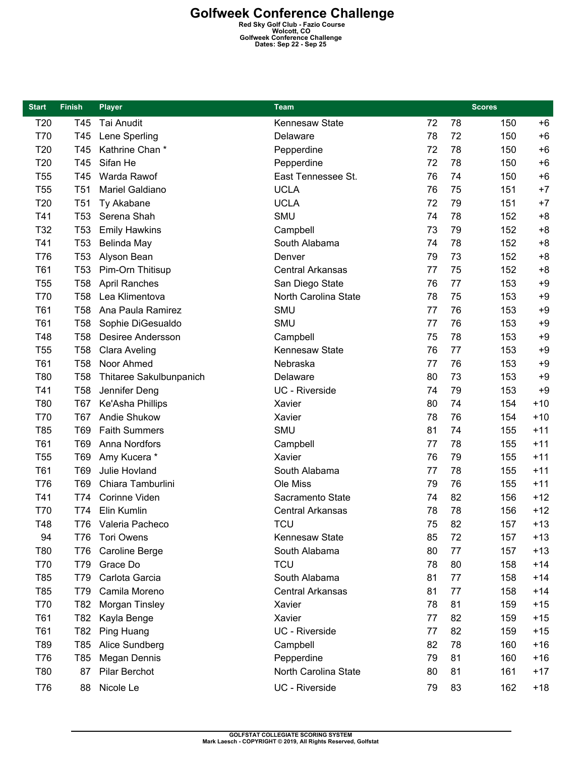| <b>Start</b> | <b>Finish</b>   | <b>Player</b>            | <b>Team</b>             |    |    | <b>Scores</b> |       |
|--------------|-----------------|--------------------------|-------------------------|----|----|---------------|-------|
| T20          | T45             | Tai Anudit               | Kennesaw State          | 72 | 78 | 150           | $+6$  |
| T70          | T45             | Lene Sperling            | Delaware                | 78 | 72 | 150           | $+6$  |
| T20          | T45             | Kathrine Chan*           | Pepperdine              | 72 | 78 | 150           | $+6$  |
| T20          | T45             | Sifan He                 | Pepperdine              | 72 | 78 | 150           | $+6$  |
| <b>T55</b>   | T45             | Warda Rawof              | East Tennessee St.      | 76 | 74 | 150           | $+6$  |
| <b>T55</b>   | T <sub>51</sub> | Mariel Galdiano          | <b>UCLA</b>             | 76 | 75 | 151           | $+7$  |
| T20          | T <sub>51</sub> | Ty Akabane               | <b>UCLA</b>             | 72 | 79 | 151           | $+7$  |
| T41          | T <sub>53</sub> | Serena Shah              | SMU                     | 74 | 78 | 152           | $+8$  |
| T32          | T <sub>53</sub> | <b>Emily Hawkins</b>     | Campbell                | 73 | 79 | 152           | $+8$  |
| T41          | T <sub>53</sub> | Belinda May              | South Alabama           | 74 | 78 | 152           | $+8$  |
| T76          | T <sub>53</sub> | Alyson Bean              | Denver                  | 79 | 73 | 152           | $+8$  |
| T61          | T <sub>53</sub> | Pim-Orn Thitisup         | <b>Central Arkansas</b> | 77 | 75 | 152           | $+8$  |
| <b>T55</b>   | <b>T58</b>      | <b>April Ranches</b>     | San Diego State         | 76 | 77 | 153           | $+9$  |
| T70          | <b>T58</b>      | Lea Klimentova           | North Carolina State    | 78 | 75 | 153           | $+9$  |
| T61          | <b>T58</b>      | Ana Paula Ramirez        | <b>SMU</b>              | 77 | 76 | 153           | $+9$  |
| T61          | <b>T58</b>      | Sophie DiGesualdo        | SMU                     | 77 | 76 | 153           | $+9$  |
| T48          | <b>T58</b>      | <b>Desiree Andersson</b> | Campbell                | 75 | 78 | 153           | $+9$  |
| <b>T55</b>   | <b>T58</b>      | Clara Aveling            | Kennesaw State          | 76 | 77 | 153           | $+9$  |
| T61          | <b>T58</b>      | Noor Ahmed               | Nebraska                | 77 | 76 | 153           | $+9$  |
| T80          | <b>T58</b>      | Thitaree Sakulbunpanich  | Delaware                | 80 | 73 | 153           | $+9$  |
| T41          | <b>T58</b>      | Jennifer Deng            | UC - Riverside          | 74 | 79 | 153           | $+9$  |
| T80          | <b>T67</b>      | Ke'Asha Phillips         | Xavier                  | 80 | 74 | 154           | $+10$ |
| T70          | <b>T67</b>      | Andie Shukow             | Xavier                  | 78 | 76 | 154           | $+10$ |
| T85          | T69             | <b>Faith Summers</b>     | <b>SMU</b>              | 81 | 74 | 155           | $+11$ |
| T61          | T69             | Anna Nordfors            | Campbell                | 77 | 78 | 155           | $+11$ |
| <b>T55</b>   | T69             | Amy Kucera *             | Xavier                  | 76 | 79 | 155           | $+11$ |
| T61          | T69             | Julie Hovland            | South Alabama           | 77 | 78 | 155           | $+11$ |
| T76          | T69             | Chiara Tamburlini        | Ole Miss                | 79 | 76 | 155           | $+11$ |
| T41          | T74             | Corinne Viden            | Sacramento State        | 74 | 82 | 156           | $+12$ |
| T70          | T74             | Elin Kumlin              | <b>Central Arkansas</b> | 78 | 78 | 156           | $+12$ |
| T48          |                 | T76 Valeria Pacheco      | TCU                     | 75 | 82 | 157           | $+13$ |
| 94           | T76             | Tori Owens               | Kennesaw State          | 85 | 72 | 157           | $+13$ |
| T80          | <b>T76</b>      | Caroline Berge           | South Alabama           | 80 | 77 | 157           | $+13$ |
| T70          | T79             | Grace Do                 | <b>TCU</b>              | 78 | 80 | 158           | $+14$ |
| T85          | T79             | Carlota Garcia           | South Alabama           | 81 | 77 | 158           | $+14$ |
| T85          | T79             | Camila Moreno            | Central Arkansas        | 81 | 77 | 158           | $+14$ |
| T70          | T82             | Morgan Tinsley           | Xavier                  | 78 | 81 | 159           | $+15$ |
| T61          | T82             | Kayla Benge              | Xavier                  | 77 | 82 | 159           | $+15$ |
| T61          | T82             | Ping Huang               | UC - Riverside          | 77 | 82 | 159           | $+15$ |
| T89          | T85             | Alice Sundberg           | Campbell                | 82 | 78 | 160           | $+16$ |
| T76          | T85             | Megan Dennis             | Pepperdine              | 79 | 81 | 160           | $+16$ |
| T80          | 87              | Pilar Berchot            | North Carolina State    | 80 | 81 | 161           | $+17$ |
| T76          | 88              | Nicole Le                | UC - Riverside          | 79 | 83 | 162           | $+18$ |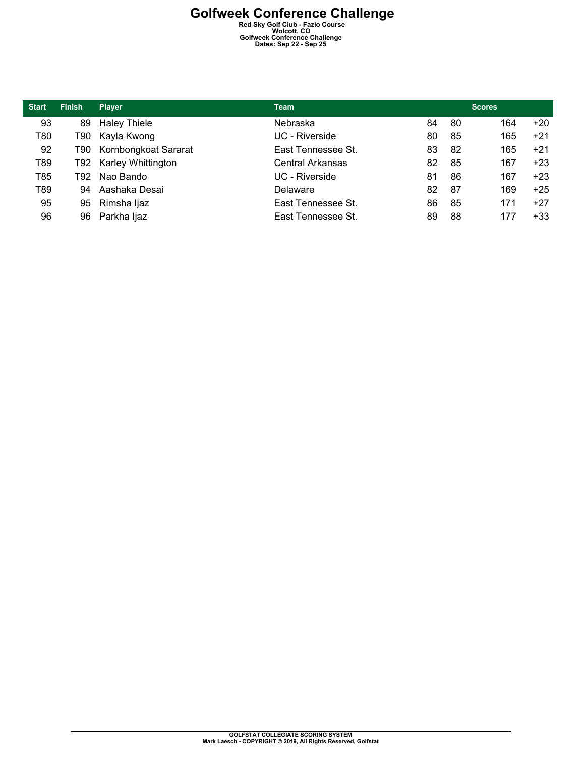| <b>Start</b> | <b>Finish</b> | <b>Player</b>             | <b>Team</b>        |    |    | <b>Scores</b> |       |
|--------------|---------------|---------------------------|--------------------|----|----|---------------|-------|
| 93           | 89            | <b>Haley Thiele</b>       | Nebraska           | 84 | 80 | 164           | $+20$ |
| T80          | T90 I         | Kayla Kwong               | UC - Riverside     | 80 | 85 | 165           | $+21$ |
| 92           | T90 I         | Kornbongkoat Sararat      | East Tennessee St. | 83 | 82 | 165           | $+21$ |
| T89          | T92 -         | <b>Karley Whittington</b> | Central Arkansas   | 82 | 85 | 167           | $+23$ |
| T85          | T92 I         | Nao Bando                 | UC - Riverside     | 81 | 86 | 167           | $+23$ |
| T89          | 94            | Aashaka Desai             | Delaware           | 82 | 87 | 169           | $+25$ |
| 95           | 95            | Rimsha Ijaz               | East Tennessee St. | 86 | 85 | 171           | $+27$ |
| 96           | 96            | Parkha ljaz               | East Tennessee St. | 89 | 88 | 177           | $+33$ |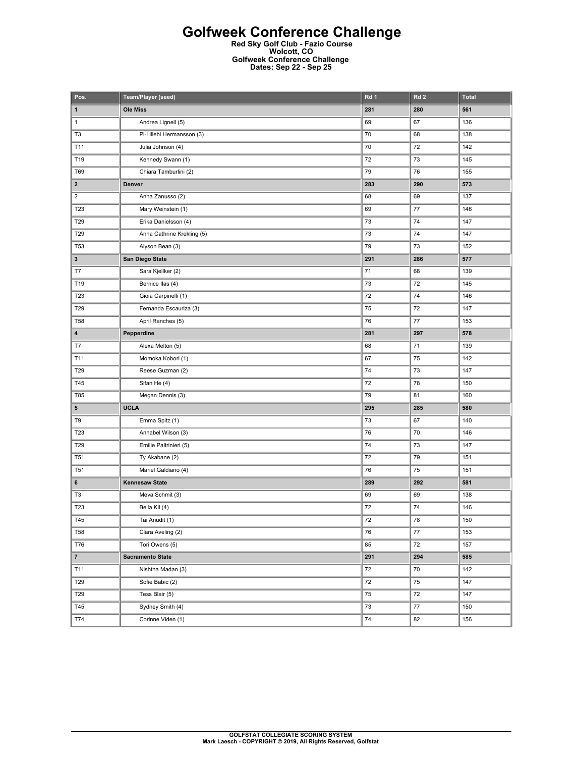### **Golfweek Conference Challenge**

**Red Sky Golf Club - Fazio Course Wolcott, CO Golfweek Conference Challenge Dates: Sep 22 - Sep 25** 

| Pos.                    | <b>Team/Player (seed)</b>  | Rd 1 | Rd <sub>2</sub> | <b>Total</b> |
|-------------------------|----------------------------|------|-----------------|--------------|
| 1                       | <b>Ole Miss</b>            | 281  | 280             | 561          |
| 1                       | Andrea Lignell (5)         | 69   | 67              | 136          |
| T <sub>3</sub>          | Pi-Lillebi Hermansson (3)  | 70   | 68              | 138          |
| T11                     | Julia Johnson (4)          | 70   | 72              | 142          |
| T19                     | Kennedy Swann (1)          | 72   | 73              | 145          |
| <b>T69</b>              | Chiara Tamburlini (2)      | 79   | 76              | 155          |
| $\mathbf{2}$            | Denver                     | 283  | 290             | 573          |
| $\overline{\mathbf{c}}$ | Anna Zanusso (2)           | 68   | 69              | 137          |
| T23                     | Mary Weinstein (1)         | 69   | $77 \,$         | 146          |
| T29                     | Erika Danielsson (4)       | 73   | 74              | 147          |
| T <sub>29</sub>         | Anna Cathrine Krekling (5) | 73   | 74              | 147          |
| <b>T53</b>              | Alyson Bean (3)            | 79   | 73              | 152          |
| 3                       | San Diego State            | 291  | 286             | 577          |
| T7                      | Sara Kjellker (2)          | 71   | 68              | 139          |
| T19                     | Bernice Ilas (4)           | 73   | 72              | 145          |
| T <sub>23</sub>         | Gioia Carpinelli (1)       | 72   | 74              | 146          |
| T29                     | Fernanda Escauriza (3)     | 75   | 72              | 147          |
| <b>T58</b>              | April Ranches (5)          | 76   | 77              | 153          |
| 4                       | Pepperdine                 | 281  | 297             | 578          |
| T7                      | Alexa Melton (5)           | 68   | 71              | 139          |
| T11                     | Momoka Kobori (1)          | 67   | 75              | 142          |
| T29                     | Reese Guzman (2)           | 74   | 73              | 147          |
| T45                     | Sifan He (4)               | 72   | 78              | 150          |
| T85                     | Megan Dennis (3)           | 79   | 81              | 160          |
| 5                       | <b>UCLA</b>                | 295  | 285             | 580          |
| T9                      | Emma Spitz (1)             | 73   | 67              | 140          |
| T23                     | Annabel Wilson (3)         | 76   | 70              | 146          |
| T29                     | Emilie Paltrinieri (5)     | 74   | 73              | 147          |
| <b>T51</b>              | Ty Akabane (2)             | 72   | 79              | 151          |
| T <sub>51</sub>         | Mariel Galdiano (4)        | 76   | 75              | 151          |
| 6                       | <b>Kennesaw State</b>      | 289  | 292             | 581          |
| T <sub>3</sub>          | Meva Schmit (3)            | 69   | 69              | 138          |
| T23                     | Bella Kil (4)              | 72   | 74              | 146          |
| T45                     | Tai Anudit (1)             | 72   | 78              | 150          |
| <b>T58</b>              | Clara Aveling (2)          | 76   | $77 \,$         | 153          |
| T76                     | Tori Owens (5)             | 85   | 72              | 157          |
| $\overline{7}$          | <b>Sacramento State</b>    | 291  | 294             | 585          |
| T11                     | Nishtha Madan (3)          | 72   | $70\,$          | 142          |
| T29                     | Sofie Babic (2)            | 72   | 75              | 147          |
| T29                     | Tess Blair (5)             | 75   | 72              | 147          |
| T45                     | Sydney Smith (4)           | 73   | 77              | 150          |
| T74                     | Corinne Viden (1)          | 74   | 82              | 156          |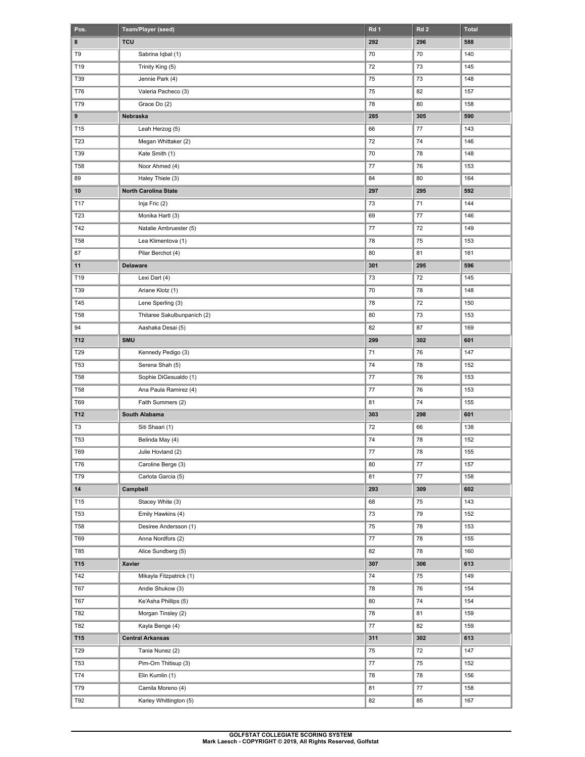| Pos.            | Team/Player (seed)          | Rd <sub>1</sub> | Rd <sub>2</sub> | <b>Total</b> |
|-----------------|-----------------------------|-----------------|-----------------|--------------|
| 8               | <b>TCU</b>                  | 292             | 296             | 588          |
| T9              | Sabrina Iqbal (1)           | 70              | 70              | 140          |
| T19             | Trinity King (5)            | 72              | 73              | 145          |
| T39             | Jennie Park (4)             | 75              | 73              | 148          |
| <b>T76</b>      | Valeria Pacheco (3)         | 75              | 82              | 157          |
| T79             | Grace Do (2)                | 78              | 80              | 158          |
| 9               | Nebraska                    | 285             | 305             | 590          |
| T15             | Leah Herzog (5)             | 66              | 77              | 143          |
| T <sub>23</sub> | Megan Whittaker (2)         | 72              | 74              | 146          |
| T39             | Kate Smith (1)              | 70              | 78              | 148          |
| <b>T58</b>      | Noor Ahmed (4)              | 77              | 76              | 153          |
| 89              | Haley Thiele (3)            | 84              | 80              | 164          |
| 10              | North Carolina State        | 297             | 295             | 592          |
| T17             | Inja Fric (2)               | 73              | 71              | 144          |
| T <sub>23</sub> | Monika Hartl (3)            | 69              | 77              | 146          |
| T42             | Natalie Ambruester (5)      | 77              | 72              | 149          |
| <b>T58</b>      | Lea Klimentova (1)          | 78              | 75              | 153          |
| 87              | Pilar Berchot (4)           | 80              | 81              | 161          |
| 11              | <b>Delaware</b>             | 301             | 295             | 596          |
| T19             | Lexi Dart (4)               | 73              | 72              | 145          |
| T39             | Ariane Klotz (1)            | 70              | 78              | 148          |
| T45             | Lene Sperling (3)           | 78              | 72              | 150          |
| <b>T58</b>      | Thitaree Sakulbunpanich (2) | 80              | 73              | 153          |
| 94              | Aashaka Desai (5)           | 82              | 87              | 169          |
| T12             | <b>SMU</b>                  | 299             | 302             | 601          |
| T29             | Kennedy Pedigo (3)          | 71              | 76              | 147          |
| T53             | Serena Shah (5)             | 74              | 78              | 152          |
| <b>T58</b>      | Sophie DiGesualdo (1)       | 77              | 76              | 153          |
| <b>T58</b>      | Ana Paula Ramirez (4)       | 77              | 76              | 153          |
| T69             | Faith Summers (2)           | 81              | 74              | 155          |
| T12             | South Alabama               | 303             | 298             | 601          |
| T3              | Siti Shaari (1)             | 72              | 66              | 138          |
| <b>T53</b>      | Belinda May (4)             | 74              | 78              | 152          |
| T69             | Julie Hovland (2)           | $77 \,$         | 78              | 155          |
| <b>T76</b>      | Caroline Berge (3)          | 80              | 77              | 157          |
| T79             | Carlota Garcia (5)          | 81              | 77              | 158          |
| 14              | Campbell                    | 293             | 309             | 602          |
| T15             | Stacey White (3)            | 68              | 75              | 143          |
| T53             | Emily Hawkins (4)           | 73              | 79              | 152          |
| <b>T58</b>      | Desiree Andersson (1)       | 75              | 78              | 153          |
| T69             | Anna Nordfors (2)           | 77              | 78              | 155          |
| T85             | Alice Sundberg (5)          | 82              | 78              | 160          |
| T15             | Xavier                      | 307             | 306             | 613          |
| T42             | Mikayla Fitzpatrick (1)     | 74              | 75              | 149          |
| T67             | Andie Shukow (3)            | 78              | 76              | 154          |
| T67             | Ke'Asha Phillips (5)        | 80              | 74              | 154          |
| T82             | Morgan Tinsley (2)          | 78              | 81              | 159          |
| T82             | Kayla Benge (4)             | 77              | 82              | 159          |
| T15             | <b>Central Arkansas</b>     | 311             | 302             | 613          |
| T29             | Tania Nunez (2)             | 75              | 72              | 147          |
| T53             | Pim-Orn Thitisup (3)        | $77 \,$         | 75              | 152          |
|                 |                             |                 |                 |              |
| T74<br>T79      | Elin Kumlin (1)             | 78              | 78              | 156          |
|                 | Camila Moreno (4)           | 81              | 77              | 158          |
| T92             | Karley Whittington (5)      | 82              | 85              | 167          |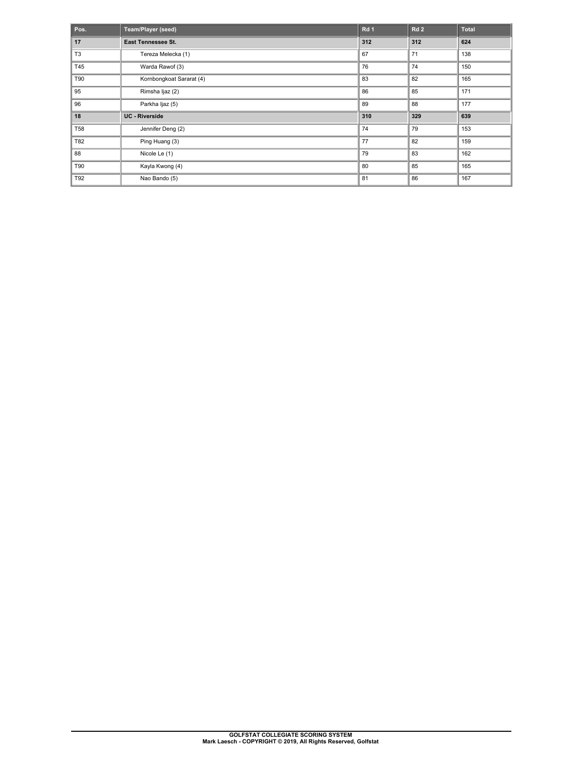| Pos.           | Team/Player (seed)       | Rd 1 | Rd2 | <b>Total</b> |
|----------------|--------------------------|------|-----|--------------|
| 17             | East Tennessee St.       | 312  | 312 | 624          |
| T <sub>3</sub> | Tereza Melecka (1)       | 67   | 71  | 138          |
| T45            | Warda Rawof (3)          | 76   | 74  | 150          |
| T90            | Kornbongkoat Sararat (4) | 83   | 82  | 165          |
| 95             | Rimsha Ijaz (2)          | 86   | 85  | 171          |
| 96             | Parkha Ijaz (5)          | 89   | 88  | 177          |
| 18             | <b>UC</b> - Riverside    | 310  | 329 | 639          |
| <b>T58</b>     | Jennifer Deng (2)        | 74   | 79  | 153          |
| T82            | Ping Huang (3)           | 77   | 82  | 159          |
| 88             | Nicole Le (1)            | 79   | 83  | 162          |
| T90            | Kayla Kwong (4)          | 80   | 85  | 165          |
| T92            | Nao Bando (5)            | 81   | 86  | 167          |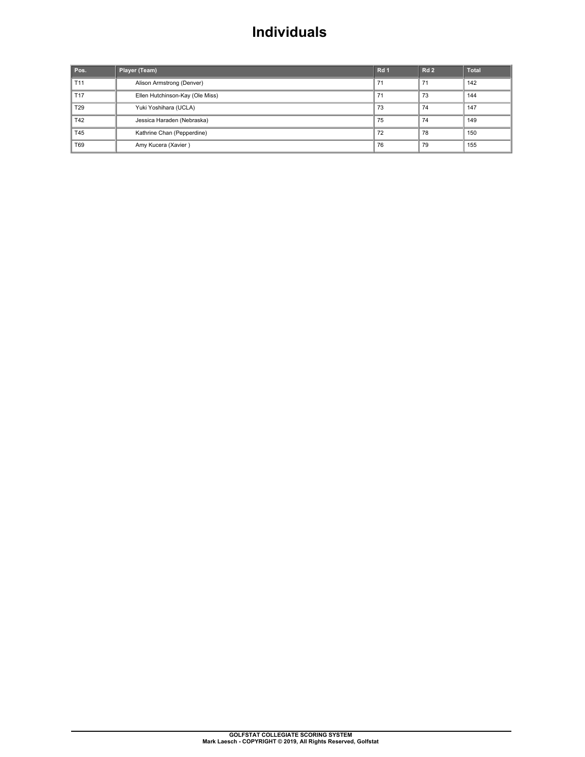## **Individuals**

| Pos.            | Player (Team)                   | Rd <sub>1</sub> | <b>Rd 2</b> | <b>Total</b> |
|-----------------|---------------------------------|-----------------|-------------|--------------|
| T <sub>11</sub> | Alison Armstrong (Denver)       | 71              | 71          | 142          |
| T <sub>17</sub> | Ellen Hutchinson-Kay (Ole Miss) | 71              | 73          | 144          |
| T <sub>29</sub> | Yuki Yoshihara (UCLA)           | 73              | 74          | 147          |
| T42             | Jessica Haraden (Nebraska)      | 75              | 74          | 149          |
| T45             | Kathrine Chan (Pepperdine)      | 72              | 78          | 150          |
| T69             | Amy Kucera (Xavier)             | 76              | 79          | 155          |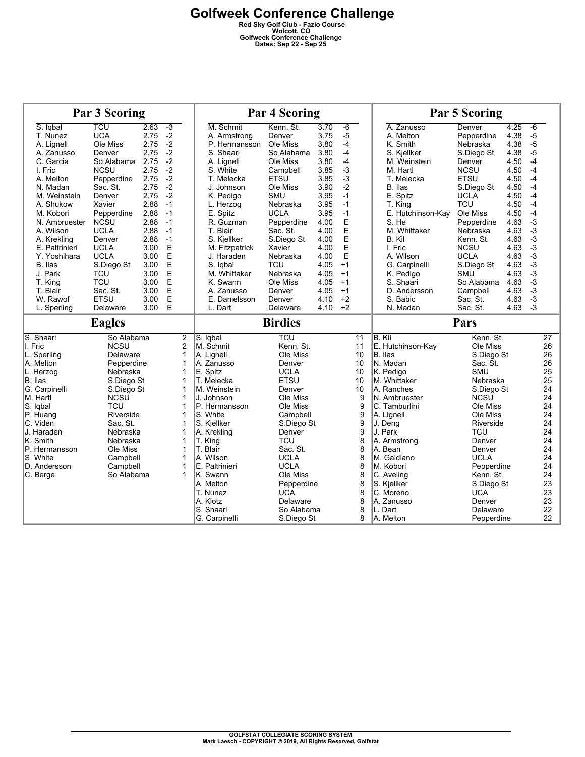| <b>Par 3 Scoring</b> |                           |      |                                  | <b>Par 4 Scoring</b>       |                          |      |      | <b>Par 5 Scoring</b> |                              |                           |      |                       |
|----------------------|---------------------------|------|----------------------------------|----------------------------|--------------------------|------|------|----------------------|------------------------------|---------------------------|------|-----------------------|
| S. Iqbal             | TCU                       | 2.63 | $-3$                             | M. Schmit                  | Kenn. St.                | 3.70 | $-6$ |                      | A. Zanusso                   | Denver                    | 4.25 | $-6$                  |
| T. Nunez             | <b>UCA</b>                | 2.75 | $-2$                             | A. Armstrong               | Denver                   | 3.75 | $-5$ |                      | A. Melton                    | Pepperdine                | 4.38 | $-5$                  |
| A. Lignell           | Ole Miss                  | 2.75 | $-2$                             | P. Hermansson              | Ole Miss                 | 3.80 | $-4$ |                      | K. Smith                     | Nebraska                  | 4.38 | $-5$                  |
| A. Zanusso           | Denver                    | 2.75 | $-2$                             | S. Shaari                  | So Alabama               | 3.80 | $-4$ |                      | S. Kjellker                  | S.Diego St                | 4.38 | $-5$                  |
| C. Garcia            | So Alabama                | 2.75 | $-2$                             | A. Lignell                 | Ole Miss                 | 3.80 | $-4$ |                      | M. Weinstein                 | Denver                    | 4.50 | $-4$                  |
| I. Fric              | <b>NCSU</b>               | 2.75 | $-2$                             | S. White                   | Campbell                 | 3.85 | $-3$ |                      | M. Hartl                     | <b>NCSU</b>               | 4.50 | $-4$                  |
| A. Melton            | Pepperdine                | 2.75 | $-2$                             | T. Melecka                 | <b>ETSU</b>              | 3.85 | $-3$ |                      | T. Melecka                   | <b>ETSU</b>               | 4.50 | $-4$                  |
| N. Madan             | Sac. St.                  | 2.75 | $-2$                             | J. Johnson                 | Ole Miss                 | 3.90 | $-2$ |                      | B. Ilas                      | S.Diego St                | 4.50 | $-4$                  |
| M. Weinstein         | Denver                    | 2.75 | $-2$                             | K. Pedigo                  | <b>SMU</b>               | 3.95 | $-1$ |                      | E. Spitz                     | <b>UCLA</b>               | 4.50 | $-4$                  |
| A. Shukow            | Xavier                    | 2.88 | $-1$                             | L. Herzog                  | Nebraska                 | 3.95 | $-1$ |                      | T. King                      | <b>TCU</b>                | 4.50 | $-4$                  |
| M. Kobori            | Pepperdine                | 2.88 | $-1$                             | E. Spitz                   | <b>UCLA</b>              | 3.95 | $-1$ |                      | E. Hutchinson-Kay            | Ole Miss                  | 4.50 | $-4$                  |
| N. Ambruester        | <b>NCSU</b>               | 2.88 | $-1$                             | R. Guzman                  | Pepperdine               | 4.00 | E    |                      | S. He                        | Pepperdine                | 4.63 | $-3$                  |
| A. Wilson            | <b>UCLA</b>               | 2.88 | $-1$                             | T. Blair                   | Sac. St.                 | 4.00 | E    |                      | M. Whittaker                 | Nebraska                  | 4.63 | $-3$                  |
| A. Krekling          | Denver                    | 2.88 | $-1$                             | S. Kjellker                | S.Diego St               | 4.00 | E    |                      | B. Kil                       | Kenn. St.                 | 4.63 | $-3$                  |
| E. Paltrinieri       | <b>UCLA</b>               | 3.00 | E                                | M. Fitzpatrick             | Xavier                   | 4.00 | E    |                      | I. Fric                      | <b>NCSU</b>               | 4.63 | $-3$                  |
| Y. Yoshihara         | <b>UCLA</b>               | 3.00 | E                                | J. Haraden                 | Nebraska                 | 4.00 | E    |                      | A. Wilson                    | <b>UCLA</b>               | 4.63 | $-3$                  |
| B. Ilas              | S.Diego St                | 3.00 | E                                | S. Igbal                   | <b>TCU</b>               | 4.05 | $+1$ |                      | G. Carpinelli                | S.Diego St                | 4.63 | $-3$                  |
| J. Park              | TCU                       | 3.00 | E                                | M. Whittaker               | Nebraska                 | 4.05 | $+1$ |                      | K. Pedigo                    | SMU                       | 4.63 | $-3$                  |
| T. King              | <b>TCU</b>                | 3.00 | E                                | K. Swann                   | Ole Miss                 | 4.05 | $+1$ |                      | S. Shaari                    | So Alabama                | 4.63 | $-3$                  |
| T. Blair             | Sac. St.                  | 3.00 | E                                | A. Zanusso                 | Denver                   | 4.05 | $+1$ |                      | D. Andersson                 | Campbell                  | 4.63 | $-3$                  |
| W. Rawof             | <b>ETSU</b>               | 3.00 | E                                | E. Danielsson              | Denver                   | 4.10 | $+2$ |                      | S. Babic                     | Sac. St.                  | 4.63 | $-3$                  |
| L. Sperling          | Delaware                  | 3.00 | E                                | L. Dart                    | Delaware                 | 4.10 | $+2$ |                      | N. Madan                     | Sac. St.                  | 4.63 | $-3$                  |
|                      |                           |      |                                  |                            |                          |      |      |                      |                              |                           |      |                       |
|                      | <b>Eagles</b>             |      |                                  |                            | <b>Birdies</b>           |      |      |                      |                              | Pars                      |      |                       |
|                      | So Alabama                |      |                                  |                            |                          |      |      | $\overline{11}$      | B. Kil                       | Kenn. St.                 |      |                       |
| S. Shaari<br>I. Fric |                           |      | $\overline{2}$<br>$\overline{c}$ | S. Igbal<br>M. Schmit      | TCU<br>Kenn. St.         |      |      | 11                   |                              | Ole Miss                  |      | $\overline{27}$<br>26 |
| L. Sperlina          | <b>NCSU</b><br>Delaware   |      | 1                                | A. Lignell                 | Ole Miss                 |      |      | 10                   | E. Hutchinson-Kay<br>B. Ilas | S.Diego St                |      | 26                    |
| A. Melton            | Pepperdine                |      | $\mathbf 1$                      | A. Zanusso                 | Denver                   |      |      | 10                   | N. Madan                     | Sac. St.                  |      | 26                    |
| L. Herzog            | Nebraska                  |      | 1                                | E. Spitz                   | <b>UCLA</b>              |      |      | 10                   | K. Pedigo                    | <b>SMU</b>                |      | 25                    |
| B. Ilas              | S.Diego St                |      | $\mathbf 1$                      | <b>T. Melecka</b>          | ETSU                     |      |      | 10                   | M. Whittaker                 | Nebraska                  |      | 25                    |
| G. Carpinelli        |                           |      | 1                                | IM. Weinstein              | Denver                   |      |      | 10                   | A. Ranches                   |                           |      | 24                    |
| M. Hartl             | S.Diego St<br><b>NCSU</b> |      | 1                                | J. Johnson                 | Ole Miss                 |      |      | 9                    | <b>N. Ambruester</b>         | S.Diego St<br><b>NCSU</b> |      | 24                    |
| S. Igbal             | <b>TCU</b>                |      | 1                                | P. Hermansson              | Ole Miss                 |      |      | 9                    | C. Tamburlini                | Ole Miss                  |      | 24                    |
| P. Huang             | Riverside                 |      | 1                                | S. White                   | Campbell                 |      |      | 9                    | A. Lignell                   | Ole Miss                  |      | 24                    |
| C. Viden             | Sac. St.                  |      | 1                                | S. Kjellker                | S.Diego St               |      |      | 9                    | J. Deng                      | Riverside                 |      | 24                    |
| J. Haraden           | Nebraska                  |      | 1                                | A. Krekling                | Denver                   |      |      | 9                    | J. Park                      | <b>TCU</b>                |      | 24                    |
| K. Smith             | Nebraska                  |      | 1                                | T. King                    | <b>TCU</b>               |      |      | 8                    | A. Armstrong                 | Denver                    |      | 24                    |
| P. Hermansson        | Ole Miss                  |      | 1                                | T. Blair                   | Sac. St.                 |      |      | 8                    | A. Bean                      | Denver                    |      | 24                    |
| S. White             | Campbell                  |      | 1                                | A. Wilson                  | <b>UCLA</b>              |      |      | 8                    | M. Galdiano                  | <b>UCLA</b>               |      | 24                    |
| D. Andersson         | Campbell                  |      | 1                                | E. Paltrinieri             | <b>UCLA</b>              |      |      | 8                    | M. Kobori                    | Pepperdine                |      | 24                    |
| C. Berge             | So Alabama                |      | 1                                | K. Swann                   | Ole Miss                 |      |      | 8                    | C. Aveling                   | Kenn. St.                 |      | 24                    |
|                      |                           |      |                                  | IA. Melton                 | Pepperdine               |      |      | 8                    | S. Kjellker                  | S.Diego St                |      | 23                    |
|                      |                           |      |                                  | T. Nunez                   | <b>UCA</b>               |      |      | 8                    | C. Moreno                    | <b>UCA</b>                |      | 23                    |
|                      |                           |      |                                  | A. Klotz                   | Delaware                 |      |      | 8                    | A. Zanusso                   | Denver                    |      | 23                    |
|                      |                           |      |                                  | S. Shaari<br>G. Carpinelli | So Alabama<br>S.Diego St |      |      | 8<br>8               | L. Dart<br>A. Melton         | Delaware<br>Pepperdine    |      | 22<br>22              |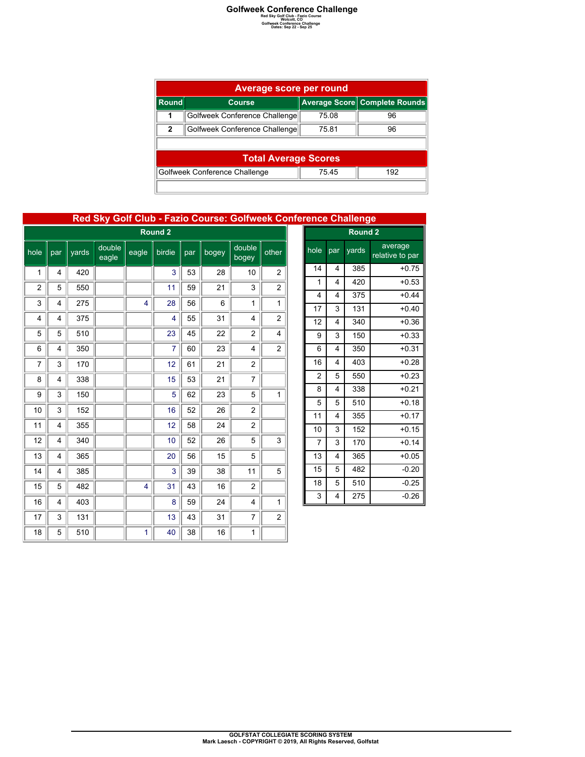|       | <b>Average score per round</b>                |       |                               |  |  |  |  |  |  |
|-------|-----------------------------------------------|-------|-------------------------------|--|--|--|--|--|--|
| Round | <b>Course</b>                                 |       | Average Score Complete Rounds |  |  |  |  |  |  |
| 1     | Golfweek Conference Challenge                 | 75.08 | 96                            |  |  |  |  |  |  |
| 2     | Golfweek Conference Challenge                 | 75.81 | 96                            |  |  |  |  |  |  |
|       |                                               |       |                               |  |  |  |  |  |  |
|       | <b>Total Average Scores</b>                   |       |                               |  |  |  |  |  |  |
|       | Golfweek Conference Challenge<br>75.45<br>192 |       |                               |  |  |  |  |  |  |
|       |                                               |       |                               |  |  |  |  |  |  |

### **Red Sky Golf Club - Fazio Course: Golfweek Conference Challenge**

| Round <sub>2</sub> |     |       |                 |       |                |     |       |                 |                         |
|--------------------|-----|-------|-----------------|-------|----------------|-----|-------|-----------------|-------------------------|
| hole               | par | yards | double<br>eagle | eagle | birdie         | par | bogey | double<br>bogey | other                   |
| 1                  | 4   | 420   |                 |       | 3              | 53  | 28    | 10              | $\overline{\mathbf{c}}$ |
| $\overline{2}$     | 5   | 550   |                 |       | 11             | 59  | 21    | 3               | $\overline{c}$          |
| 3                  | 4   | 275   |                 | 4     | 28             | 56  | 6     | 1               | 1                       |
| 4                  | 4   | 375   |                 |       | 4              | 55  | 31    | $\overline{4}$  | 2                       |
| 5                  | 5   | 510   |                 |       | 23             | 45  | 22    | 2               | 4                       |
| 6                  | 4   | 350   |                 |       | $\overline{7}$ | 60  | 23    | $\overline{4}$  | 2                       |
| 7                  | 3   | 170   |                 |       | 12             | 61  | 21    | $\overline{c}$  |                         |
| 8                  | 4   | 338   |                 |       | 15             | 53  | 21    | 7               |                         |
| 9                  | 3   | 150   |                 |       | 5              | 62  | 23    | 5               | 1                       |
| 10                 | 3   | 152   |                 |       | 16             | 52  | 26    | 2               |                         |
| 11                 | 4   | 355   |                 |       | 12             | 58  | 24    | $\overline{c}$  |                         |
| 12                 | 4   | 340   |                 |       | 10             | 52  | 26    | 5               | 3                       |
| 13                 | 4   | 365   |                 |       | 20             | 56  | 15    | 5               |                         |
| 14                 | 4   | 385   |                 |       | 3              | 39  | 38    | 11              | 5                       |
| 15                 | 5   | 482   |                 | 4     | 31             | 43  | 16    | 2               |                         |
| 16                 | 4   | 403   |                 |       | 8              | 59  | 24    | $\overline{4}$  | 1                       |
| 17                 | 3   | 131   |                 |       | 13             | 43  | 31    | 7               | 2                       |
| 18                 | 5   | 510   |                 | 1     | 40             | 38  | 16    | 1               |                         |

| <b>Tence Undilenge</b> |     |                    |                            |  |  |  |  |  |
|------------------------|-----|--------------------|----------------------------|--|--|--|--|--|
|                        |     | Round <sub>2</sub> |                            |  |  |  |  |  |
| hole                   | par | yards              | average<br>relative to par |  |  |  |  |  |
| 14                     | 4   | 385                | $+0.75$                    |  |  |  |  |  |
| 1                      | 4   | 420                | $+0.53$                    |  |  |  |  |  |
| 4                      | 4   | 375                | $+0.44$                    |  |  |  |  |  |
| 17                     | 3   | 131                | $+0.40$                    |  |  |  |  |  |
| 12                     | 4   | 340                | $+0.36$                    |  |  |  |  |  |
| 9                      | 3   | 150                | $+0.33$                    |  |  |  |  |  |
| 6                      | 4   | 350                | $+0.31$                    |  |  |  |  |  |
| 16                     | 4   | 403                | $+0.28$                    |  |  |  |  |  |
| 2                      | 5   | 550                | $+0.23$                    |  |  |  |  |  |
| 8                      | 4   | 338                | $+0.21$                    |  |  |  |  |  |
| 5                      | 5   | 510                | $+0.18$                    |  |  |  |  |  |
| 11                     | 4   | 355                | $+0.17$                    |  |  |  |  |  |
| 10                     | 3   | 152                | $+0.15$                    |  |  |  |  |  |
| $\overline{7}$         | 3   | 170                | $+0.14$                    |  |  |  |  |  |
| 13                     | 4   | 365                | $+0.05$                    |  |  |  |  |  |
| 15                     | 5   | 482                | $-0.20$                    |  |  |  |  |  |
| 18                     | 5   | 510                | $-0.25$                    |  |  |  |  |  |
| 3                      | 4   | 275                | $-0.26$                    |  |  |  |  |  |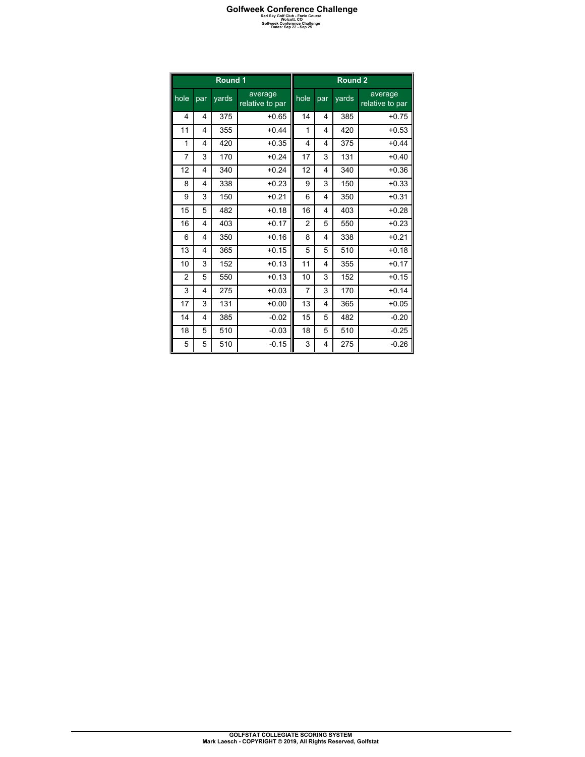|                |                         | Round 1 |                            | Round <sub>2</sub> |     |       |                            |  |
|----------------|-------------------------|---------|----------------------------|--------------------|-----|-------|----------------------------|--|
| hole           | yards<br>par            |         | average<br>relative to par | hole               | par | yards | average<br>relative to par |  |
| 4              | 4                       | 375     | $+0.65$                    | 14                 | 4   | 385   | $+0.75$                    |  |
| 11             | 4                       | 355     | $+0.44$                    | 1                  | 4   | 420   | $+0.53$                    |  |
| 1              | 4                       | 420     | $+0.35$                    | 4                  | 4   | 375   | $+0.44$                    |  |
| 7              | 3                       | 170     | $+0.24$                    | 17                 | 3   | 131   | $+0.40$                    |  |
| 12             | 4                       | 340     | $+0.24$                    | 12                 | 4   | 340   | $+0.36$                    |  |
| 8              | $\overline{\mathbf{4}}$ | 338     | $+0.23$                    | 9                  | 3   | 150   | $+0.33$                    |  |
| 9              | 3                       | 150     | $+0.21$                    | 6                  | 4   | 350   | $+0.31$                    |  |
| 15             | 5                       | 482     | $+0.18$                    | 16                 | 4   | 403   | $+0.28$                    |  |
| 16             | 4                       | 403     | $+0.17$                    | $\overline{2}$     | 5   | 550   | $+0.23$                    |  |
| 6              | $\overline{\mathbf{4}}$ | 350     | $+0.16$                    | 8                  | 4   | 338   | $+0.21$                    |  |
| 13             | $\overline{\mathbf{4}}$ | 365     | $+0.15$                    | 5                  | 5   | 510   | $+0.18$                    |  |
| 10             | 3                       | 152     | $+0.13$                    | 11                 | 4   | 355   | $+0.17$                    |  |
| $\overline{2}$ | 5                       | 550     | $+0.13$                    | 10                 | 3   | 152   | $+0.15$                    |  |
| 3              | 4                       | 275     | $+0.03$                    | 7                  | 3   | 170   | $+0.14$                    |  |
| 17             | 3                       | 131     | $+0.00$                    | 13                 | 4   | 365   | $+0.05$                    |  |
| 14             | 4                       | 385     | $-0.02$                    | 15                 | 5   | 482   | $-0.20$                    |  |
| 18             | 5                       | 510     | $-0.03$                    | 18                 | 5   | 510   | $-0.25$                    |  |
| 5              | 5                       | 510     | $-0.15$                    | 3                  | 4   | 275   | $-0.26$                    |  |